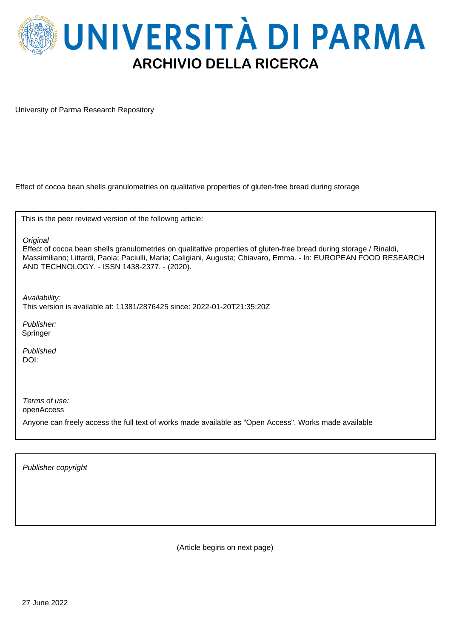

University of Parma Research Repository

Effect of cocoa bean shells granulometries on qualitative properties of gluten-free bread during storage

This is the peer reviewd version of the followng article:

**Original** 

Effect of cocoa bean shells granulometries on qualitative properties of gluten-free bread during storage / Rinaldi, Massimiliano; Littardi, Paola; Paciulli, Maria; Caligiani, Augusta; Chiavaro, Emma. - In: EUROPEAN FOOD RESEARCH AND TECHNOLOGY. - ISSN 1438-2377. - (2020).

Availability: This version is available at: 11381/2876425 since: 2022-01-20T21:35:20Z

Publisher: Springer

Published DOI:

Terms of use: openAccess

Anyone can freely access the full text of works made available as "Open Access". Works made available

Publisher copyright

(Article begins on next page)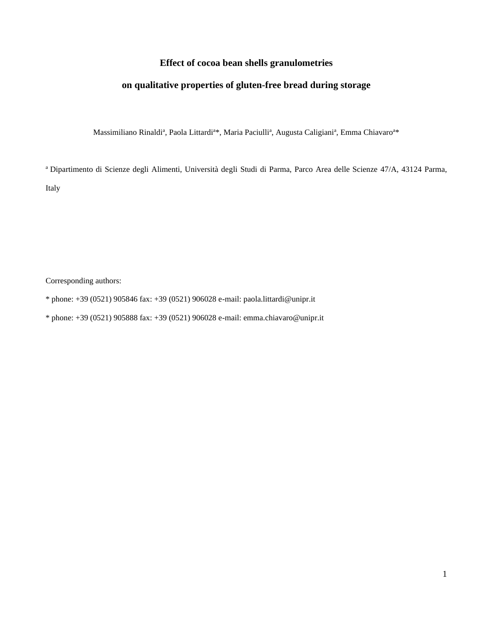### **Effect of cocoa bean shells granulometries**

## **on qualitative properties of gluten-free bread during storage**

Massimiliano Rinaldi<sup>a</sup>, Paola Littardi<sup>a\*</sup>, Maria Paciulli<sup>a</sup>, Augusta Caligiani<sup>a</sup>, Emma Chiavaro<sup>a\*</sup>

<sup>a</sup> Dipartimento di Scienze degli Alimenti, Università degli Studi di Parma, Parco Area delle Scienze 47/A, 43124 Parma, Italy

Corresponding authors:

- \* phone: +39 (0521) 905846 fax: +39 (0521) 906028 e-mail: paola.littardi@unipr.it
- \* phone: +39 (0521) 905888 fax: +39 (0521) 906028 e-mail: emma.chiavaro@unipr.it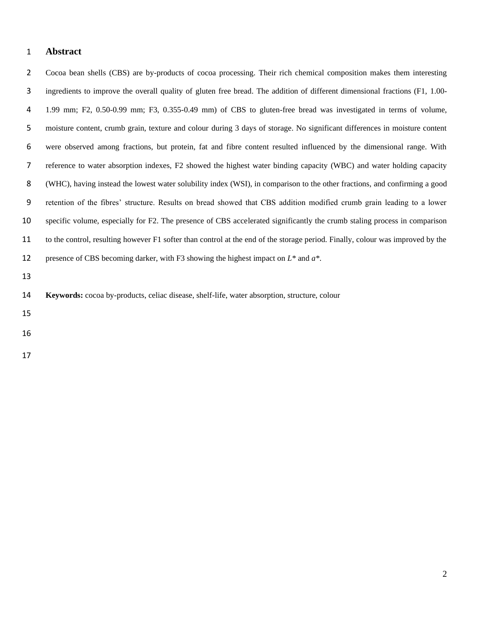#### **Abstract**

 Cocoa bean shells (CBS) are by-products of cocoa processing. Their rich chemical composition makes them interesting ingredients to improve the overall quality of gluten free bread. The addition of different dimensional fractions (F1, 1.00- 1.99 mm; F2, 0.50-0.99 mm; F3, 0.355-0.49 mm) of CBS to gluten-free bread was investigated in terms of volume, moisture content, crumb grain, texture and colour during 3 days of storage. No significant differences in moisture content were observed among fractions, but protein, fat and fibre content resulted influenced by the dimensional range. With reference to water absorption indexes, F2 showed the highest water binding capacity (WBC) and water holding capacity (WHC), having instead the lowest water solubility index (WSI), in comparison to the other fractions, and confirming a good retention of the fibres' structure. Results on bread showed that CBS addition modified crumb grain leading to a lower specific volume, especially for F2. The presence of CBS accelerated significantly the crumb staling process in comparison to the control, resulting however F1 softer than control at the end of the storage period. Finally, colour was improved by the presence of CBS becoming darker, with F3 showing the highest impact on *L\** and *a\**.

|  |  |  |  |  | 14 <b>Keywords:</b> cocoa by-products, celiac disease, shelf-life, water absorption, structure, colour |  |
|--|--|--|--|--|--------------------------------------------------------------------------------------------------------|--|
|--|--|--|--|--|--------------------------------------------------------------------------------------------------------|--|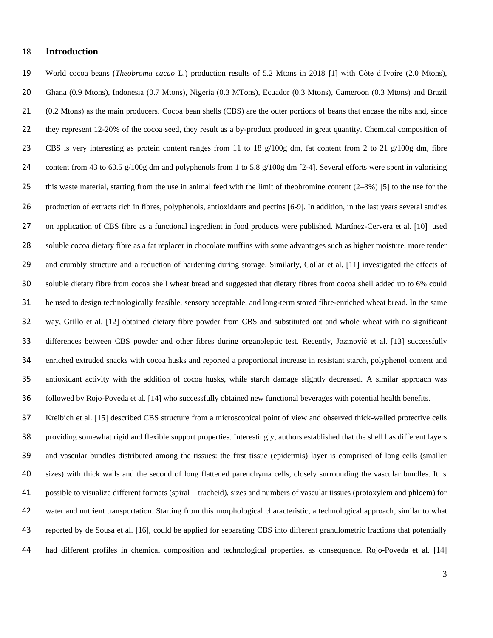#### **Introduction**

19 World cocoa beans (*Theobroma cacao* L.) production results of 5.2 Mtons in 2018 [1] with Côte d'Ivoire (2.0 Mtons), Ghana (0.9 Mtons), Indonesia (0.7 Mtons), Nigeria (0.3 MTons), Ecuador (0.3 Mtons), Cameroon (0.3 Mtons) and Brazil (0.2 Mtons) as the main producers. Cocoa bean shells (CBS) are the outer portions of beans that encase the nibs and, since they represent 12-20% of the cocoa seed, they result as a by-product produced in great quantity. Chemical composition of CBS is very interesting as protein content ranges from 11 to 18 g/100g dm, fat content from 2 to 21 g/100g dm, fibre 24 content from 43 to 60.5 g/100g dm and polyphenols from 1 to 5.8 g/100g dm [2-4]. Several efforts were spent in valorising 25 this waste material, starting from the use in animal feed with the limit of theobromine content  $(2-3\%)$  [5] to the use for the 26 production of extracts rich in fibres, polyphenols, antioxidants and pectins [6-9]. In addition, in the last years several studies 27 on application of CBS fibre as a functional ingredient in food products were published. Martínez-Cervera et al. [10] used soluble cocoa dietary fibre as a fat replacer in chocolate muffins with some advantages such as higher moisture, more tender 29 and crumbly structure and a reduction of hardening during storage. Similarly, Collar et al. [11] investigated the effects of soluble dietary fibre from cocoa shell wheat bread and suggested that dietary fibres from cocoa shell added up to 6% could be used to design technologically feasible, sensory acceptable, and long-term stored fibre-enriched wheat bread. In the same 32 way, Grillo et al. [12] obtained dietary fibre powder from CBS and substituted oat and whole wheat with no significant 33 differences between CBS powder and other fibres during organoleptic test. Recently, Jozinović et al. [13] successfully enriched extruded snacks with cocoa husks and reported a proportional increase in resistant starch, polyphenol content and antioxidant activity with the addition of cocoa husks, while starch damage slightly decreased. A similar approach was 36 followed by Rojo-Poveda et al. [14] who successfully obtained new functional beverages with potential health benefits.

 Kreibich et al. 15 described CBS structure from a microscopical point of view and observed thick-walled protective cells providing somewhat rigid and flexible support properties. Interestingly, authors established that the shell has different layers and vascular bundles distributed among the tissues: the first tissue (epidermis) layer is comprised of long cells (smaller sizes) with thick walls and the second of long flattened parenchyma cells, closely surrounding the vascular bundles. It is possible to visualize different formats (spiral – tracheid), sizes and numbers of vascular tissues (protoxylem and phloem) for water and nutrient transportation. Starting from this morphological characteristic, a technological approach, similar to what reported by de Sousa et al. 16, could be applied for separating CBS into different granulometric fractions that potentially 44 had different profiles in chemical composition and technological properties, as consequence. Rojo-Poveda et al. [14]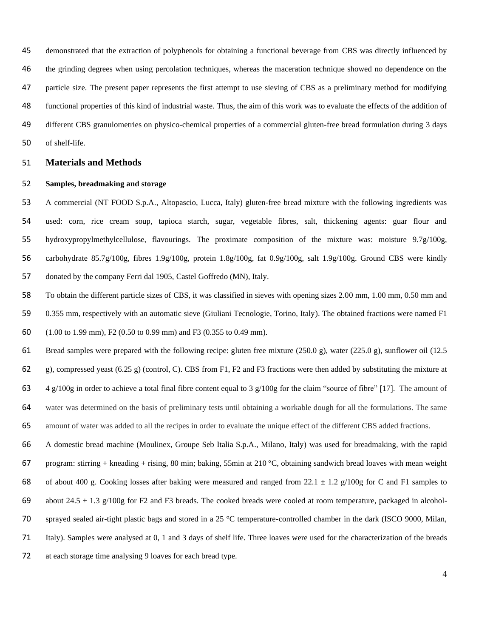demonstrated that the extraction of polyphenols for obtaining a functional beverage from CBS was directly influenced by the grinding degrees when using percolation techniques, whereas the maceration technique showed no dependence on the particle size. The present paper represents the first attempt to use sieving of CBS as a preliminary method for modifying functional properties of this kind of industrial waste. Thus, the aim of this work was to evaluate the effects of the addition of different CBS granulometries on physico-chemical properties of a commercial gluten-free bread formulation during 3 days of shelf-life.

#### **Materials and Methods**

#### **Samples, breadmaking and storage**

 A commercial (NT FOOD S.p.A., Altopascio, Lucca, Italy) gluten-free bread mixture with the following ingredients was used: corn, rice cream soup, tapioca starch, sugar, vegetable fibres, salt, thickening agents: guar flour and hydroxypropylmethylcellulose, flavourings. The proximate composition of the mixture was: moisture 9.7g/100g, carbohydrate 85.7g/100g, fibres 1.9g/100g, protein 1.8g/100g, fat 0.9g/100g, salt 1.9g/100g. Ground CBS were kindly donated by the company Ferri dal 1905, Castel Goffredo (MN), Italy.

- To obtain the different particle sizes of CBS, it was classified in sieves with opening sizes 2.00 mm, 1.00 mm, 0.50 mm and 0.355 mm, respectively with an automatic sieve (Giuliani Tecnologie, Torino, Italy). The obtained fractions were named F1 (1.00 to 1.99 mm), F2 (0.50 to 0.99 mm) and F3 (0.355 to 0.49 mm).
- Bread samples were prepared with the following recipe: gluten free mixture (250.0 g), water (225.0 g), sunflower oil (12.5 62 g), compressed yeast (6.25 g) (control, C). CBS from F1, F2 and F3 fractions were then added by substituting the mixture at 63 4 g/100g in order to achieve a total final fibre content equal to 3 g/100g for the claim "source of fibre" [17]. The amount of water was determined on the basis of preliminary tests until obtaining a workable dough for all the formulations. The same amount of water was added to all the recipes in order to evaluate the unique effect of the different CBS added fractions.
- A domestic bread machine (Moulinex, Groupe Seb Italia S.p.A., Milano, Italy) was used for breadmaking, with the rapid 67 program: stirring + kneading + rising, 80 min; baking, 55min at 210 °C, obtaining sandwich bread loaves with mean weight 68 of about 400 g. Cooking losses after baking were measured and ranged from 22.1  $\pm$  1.2 g/100g for C and F1 samples to 69 about  $24.5 \pm 1.3$  g/100g for F2 and F3 breads. The cooked breads were cooled at room temperature, packaged in alcohol- sprayed sealed air-tight plastic bags and stored in a 25 °C temperature-controlled chamber in the dark (ISCO 9000, Milan, Italy). Samples were analysed at 0, 1 and 3 days of shelf life. Three loaves were used for the characterization of the breads
- at each storage time analysing 9 loaves for each bread type.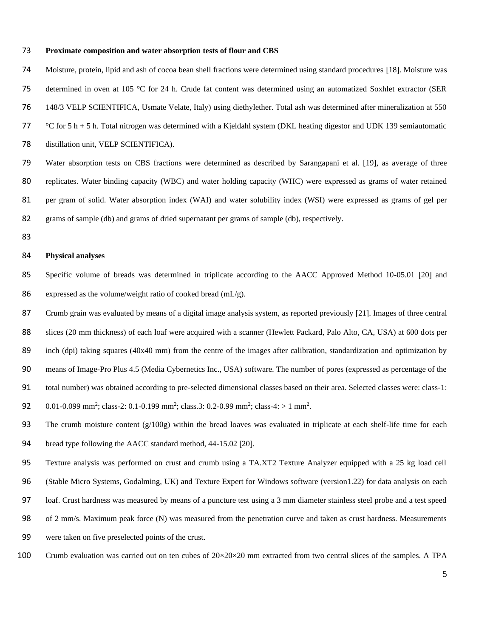#### 73 **Proximate composition and water absorption tests of flour and CBS**

74 Moisture, protein, lipid and ash of cocoa bean shell fractions were determined using standard procedures [18]. Moisture was 75 determined in oven at 105 °C for 24 h. Crude fat content was determined using an automatized Soxhlet extractor (SER 76 148/3 VELP SCIENTIFICA, Usmate Velate, Italy) using diethylether. Total ash was determined after mineralization at 550 77 °C for 5 h + 5 h. Total nitrogen was determined with a Kjeldahl system (DKL heating digestor and UDK 139 semiautomatic 78 distillation unit, VELP SCIENTIFICA). 79 Water absorption tests on CBS fractions were determined as described by Sarangapani et al. [19], as average of three

80 replicates. Water binding capacity (WBC) and water holding capacity (WHC) were expressed as grams of water retained 81 per gram of solid. Water absorption index (WAI) and water solubility index (WSI) were expressed as grams of gel per

- 82 grams of sample (db) and grams of dried supernatant per grams of sample (db), respectively.
- 83

#### 84 **Physical analyses**

85 Specific volume of breads was determined in triplicate according to the AACC Approved Method 10-05.01 [20] and 86 expressed as the volume/weight ratio of cooked bread  $(mL/g)$ .

87 Crumb grain was evaluated by means of a digital image analysis system, as reported previously [21]. Images of three central 88 slices (20 mm thickness) of each loaf were acquired with a scanner (Hewlett Packard, Palo Alto, CA, USA) at 600 dots per 89 inch (dpi) taking squares (40x40 mm) from the centre of the images after calibration, standardization and optimization by 90 means of Image-Pro Plus 4.5 (Media Cybernetics Inc., USA) software. The number of pores (expressed as percentage of the

- 91 total number) was obtained according to pre-selected dimensional classes based on their area. Selected classes were: class-1:
- 92 0.01-0.099 mm<sup>2</sup>; class-2: 0.1-0.199 mm<sup>2</sup>; class.3: 0.2-0.99 mm<sup>2</sup>; class-4: > 1 mm<sup>2</sup>.
- 93 The crumb moisture content  $(g/100g)$  within the bread loaves was evaluated in triplicate at each shelf-life time for each
- 94 bread type following the AACC standard method, 44-15.02 [20].
- 95 Texture analysis was performed on crust and crumb using a TA.XT2 Texture Analyzer equipped with a 25 kg load cell

96 (Stable Micro Systems, Godalming, UK) and Texture Expert for Windows software (version1.22) for data analysis on each

- 97 loaf. Crust hardness was measured by means of a puncture test using a 3 mm diameter stainless steel probe and a test speed
- 98 of 2 mm/s. Maximum peak force (N) was measured from the penetration curve and taken as crust hardness. Measurements
- 99 were taken on five preselected points of the crust.
- 100 Crumb evaluation was carried out on ten cubes of  $20 \times 20 \times 20$  mm extracted from two central slices of the samples. A TPA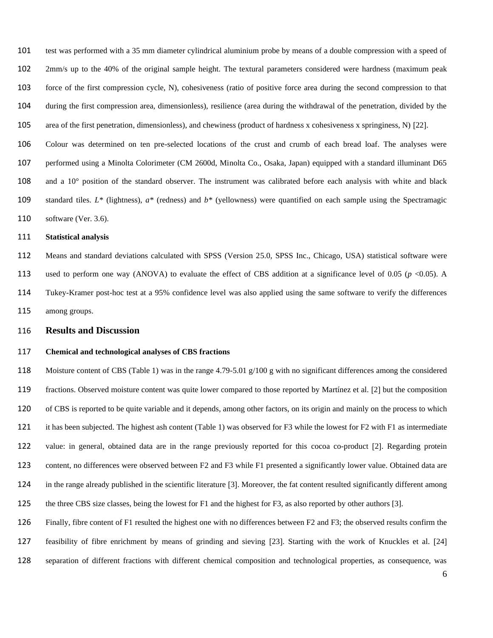test was performed with a 35 mm diameter cylindrical aluminium probe by means of a double compression with a speed of 2mm/s up to the 40% of the original sample height. The textural parameters considered were hardness (maximum peak force of the first compression cycle, N), cohesiveness (ratio of positive force area during the second compression to that during the first compression area, dimensionless), resilience (area during the withdrawal of the penetration, divided by the area of the first penetration, dimensionless), and chewiness (product of hardness x cohesiveness x springiness, N) 22.

 Colour was determined on ten pre-selected locations of the crust and crumb of each bread loaf. The analyses were performed using a Minolta Colorimeter (CM 2600d, Minolta Co., Osaka, Japan) equipped with a standard illuminant D65 and a 10° position of the standard observer. The instrument was calibrated before each analysis with white and black standard tiles. *L\** (lightness), *a\** (redness) and *b\** (yellowness) were quantified on each sample using the Spectramagic software (Ver. 3.6).

#### **Statistical analysis**

 Means and standard deviations calculated with SPSS (Version 25.0, SPSS Inc., Chicago, USA) statistical software were 113 used to perform one way (ANOVA) to evaluate the effect of CBS addition at a significance level of 0.05 ( $p$  <0.05). A Tukey-Kramer post-hoc test at a 95% confidence level was also applied using the same software to verify the differences among groups.

#### **Results and Discussion**

#### **Chemical and technological analyses of CBS fractions**

 Moisture content of CBS (Table 1) was in the range 4.79-5.01 g/100 g with no significant differences among the considered 119 fractions. Observed moisture content was quite lower compared to those reported by Martínez et al. [2] but the composition of CBS is reported to be quite variable and it depends, among other factors, on its origin and mainly on the process to which it has been subjected. The highest ash content (Table 1) was observed for F3 while the lowest for F2 with F1 as intermediate 122 value: in general, obtained data are in the range previously reported for this cocoa co-product [2]. Regarding protein content, no differences were observed between F2 and F3 while F1 presented a significantly lower value. Obtained data are 124 in the range already published in the scientific literature [3]. Moreover, the fat content resulted significantly different among the three CBS size classes, being the lowest for F1 and the highest for F3, as also reported by other authors [3].

 Finally, fibre content of F1 resulted the highest one with no differences between F2 and F3; the observed results confirm the 127 feasibility of fibre enrichment by means of grinding and sieving [23]. Starting with the work of Knuckles et al. [24]

separation of different fractions with different chemical composition and technological properties, as consequence, was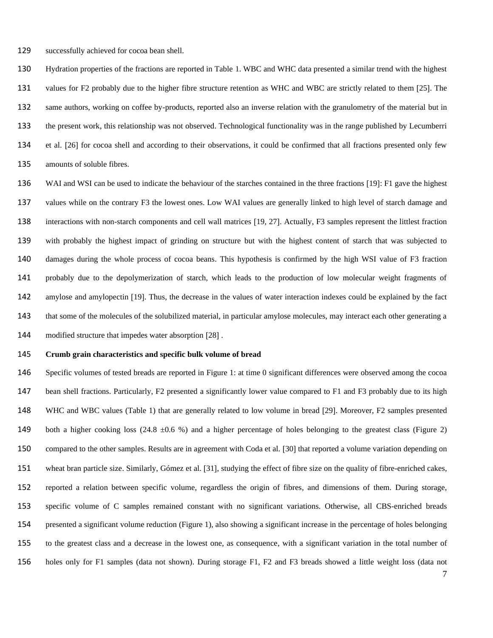successfully achieved for cocoa bean shell.

 Hydration properties of the fractions are reported in Table 1. WBC and WHC data presented a similar trend with the highest 131 values for F2 probably due to the higher fibre structure retention as WHC and WBC are strictly related to them [25]. The same authors, working on coffee by-products, reported also an inverse relation with the granulometry of the material but in the present work, this relationship was not observed. Technological functionality was in the range published by Lecumberri 134 et al. [26] for cocoa shell and according to their observations, it could be confirmed that all fractions presented only few amounts of soluble fibres.

136 WAI and WSI can be used to indicate the behaviour of the starches contained in the three fractions [19]: F1 gave the highest values while on the contrary F3 the lowest ones. Low WAI values are generally linked to high level of starch damage and 138 interactions with non-starch components and cell wall matrices [19, 27]. Actually, F3 samples represent the littlest fraction with probably the highest impact of grinding on structure but with the highest content of starch that was subjected to damages during the whole process of cocoa beans. This hypothesis is confirmed by the high WSI value of F3 fraction probably due to the depolymerization of starch, which leads to the production of low molecular weight fragments of amylose and amylopectin 19. Thus, the decrease in the values of water interaction indexes could be explained by the fact that some of the molecules of the solubilized material, in particular amylose molecules, may interact each other generating a 144 modified structure that impedes water absorption [28].

#### **Crumb grain characteristics and specific bulk volume of bread**

 Specific volumes of tested breads are reported in Figure 1: at time 0 significant differences were observed among the cocoa bean shell fractions. Particularly, F2 presented a significantly lower value compared to F1 and F3 probably due to its high 148 WHC and WBC values (Table 1) that are generally related to low volume in bread [29]. Moreover, F2 samples presented 149 both a higher cooking loss (24.8  $\pm$ 0.6 %) and a higher percentage of holes belonging to the greatest class (Figure 2) 150 compared to the other samples. Results are in agreement with Coda et al. [30] that reported a volume variation depending on 151 wheat bran particle size. Similarly, Gómez et al. [31], studying the effect of fibre size on the quality of fibre-enriched cakes, reported a relation between specific volume, regardless the origin of fibres, and dimensions of them. During storage, specific volume of C samples remained constant with no significant variations. Otherwise, all CBS-enriched breads presented a significant volume reduction (Figure 1), also showing a significant increase in the percentage of holes belonging to the greatest class and a decrease in the lowest one, as consequence, with a significant variation in the total number of holes only for F1 samples (data not shown). During storage F1, F2 and F3 breads showed a little weight loss (data not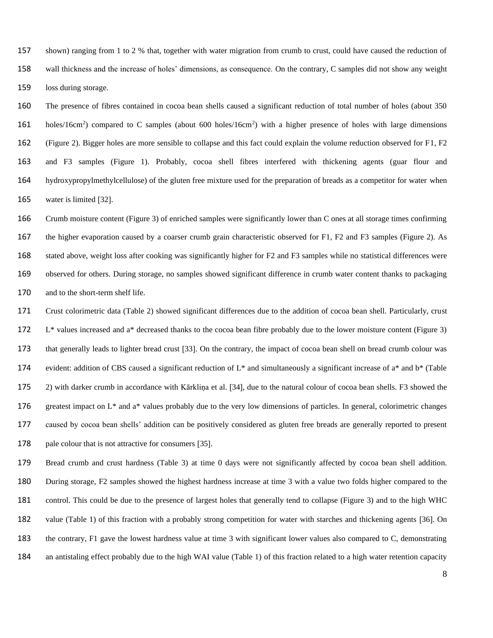shown) ranging from 1 to 2 % that, together with water migration from crumb to crust, could have caused the reduction of wall thickness and the increase of holes' dimensions, as consequence. On the contrary, C samples did not show any weight loss during storage.

 The presence of fibres contained in cocoa bean shells caused a significant reduction of total number of holes (about 350 161 holes/16cm<sup>2</sup>) compared to C samples (about 600 holes/16cm<sup>2</sup>) with a higher presence of holes with large dimensions (Figure 2). Bigger holes are more sensible to collapse and this fact could explain the volume reduction observed for F1, F2 and F3 samples (Figure 1). Probably, cocoa shell fibres interfered with thickening agents (guar flour and hydroxypropylmethylcellulose) of the gluten free mixture used for the preparation of breads as a competitor for water when 165 water is limited [32].

 Crumb moisture content (Figure 3) of enriched samples were significantly lower than C ones at all storage times confirming the higher evaporation caused by a coarser crumb grain characteristic observed for F1, F2 and F3 samples (Figure 2). As stated above, weight loss after cooking was significantly higher for F2 and F3 samples while no statistical differences were observed for others. During storage, no samples showed significant difference in crumb water content thanks to packaging and to the short-term shelf life.

 Crust colorimetric data (Table 2) showed significant differences due to the addition of cocoa bean shell. Particularly, crust L\* values increased and a\* decreased thanks to the cocoa bean fibre probably due to the lower moisture content (Figure 3) 173 that generally leads to lighter bread crust [33]. On the contrary, the impact of cocoa bean shell on bread crumb colour was 174 evident: addition of CBS caused a significant reduction of  $L^*$  and simultaneously a significant increase of  $a^*$  and  $b^*$  (Table 2) with darker crumb in accordance with Kārkliņa et al. 34, due to the natural colour of cocoa bean shells. F3 showed the 176 greatest impact on  $L^*$  and a<sup>\*</sup> values probably due to the very low dimensions of particles. In general, colorimetric changes caused by cocoa bean shells' addition can be positively considered as gluten free breads are generally reported to present 178 pale colour that is not attractive for consumers [35].

 Bread crumb and crust hardness (Table 3) at time 0 days were not significantly affected by cocoa bean shell addition. During storage, F2 samples showed the highest hardness increase at time 3 with a value two folds higher compared to the control. This could be due to the presence of largest holes that generally tend to collapse (Figure 3) and to the high WHC 182 value (Table 1) of this fraction with a probably strong competition for water with starches and thickening agents [36]. On the contrary, F1 gave the lowest hardness value at time 3 with significant lower values also compared to C, demonstrating an antistaling effect probably due to the high WAI value (Table 1) of this fraction related to a high water retention capacity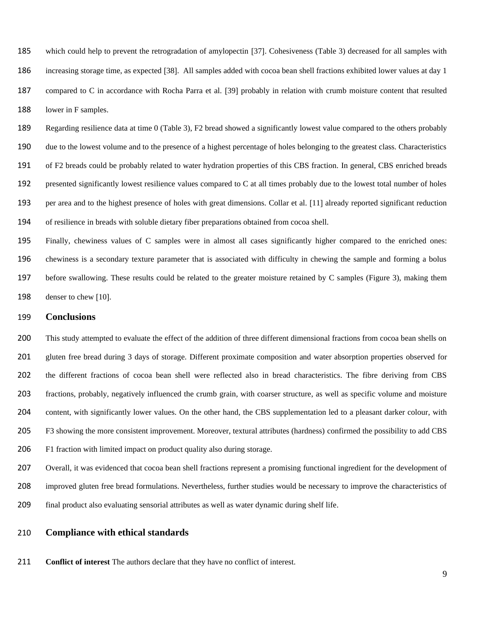185 which could help to prevent the retrogradation of amylopectin [37]. Cohesiveness (Table 3) decreased for all samples with 186 increasing storage time, as expected [38]. All samples added with cocoa bean shell fractions exhibited lower values at day 1 187 compared to C in accordance with Rocha Parra et al. [39] probably in relation with crumb moisture content that resulted 188 lower in F samples.

 Regarding resilience data at time 0 (Table 3), F2 bread showed a significantly lowest value compared to the others probably due to the lowest volume and to the presence of a highest percentage of holes belonging to the greatest class. Characteristics of F2 breads could be probably related to water hydration properties of this CBS fraction. In general, CBS enriched breads presented significantly lowest resilience values compared to C at all times probably due to the lowest total number of holes per area and to the highest presence of holes with great dimensions. Collar et al. 11 already reported significant reduction of resilience in breads with soluble dietary fiber preparations obtained from cocoa shell.

 Finally, chewiness values of C samples were in almost all cases significantly higher compared to the enriched ones: chewiness is a secondary texture parameter that is associated with difficulty in chewing the sample and forming a bolus before swallowing. These results could be related to the greater moisture retained by C samples (Figure 3), making them 198 denser to chew [10].

#### **Conclusions**

 This study attempted to evaluate the effect of the addition of three different dimensional fractions from cocoa bean shells on gluten free bread during 3 days of storage. Different proximate composition and water absorption properties observed for the different fractions of cocoa bean shell were reflected also in bread characteristics. The fibre deriving from CBS fractions, probably, negatively influenced the crumb grain, with coarser structure, as well as specific volume and moisture content, with significantly lower values. On the other hand, the CBS supplementation led to a pleasant darker colour, with F3 showing the more consistent improvement. Moreover, textural attributes (hardness) confirmed the possibility to add CBS F1 fraction with limited impact on product quality also during storage.

 Overall, it was evidenced that cocoa bean shell fractions represent a promising functional ingredient for the development of improved gluten free bread formulations. Nevertheless, further studies would be necessary to improve the characteristics of final product also evaluating sensorial attributes as well as water dynamic during shelf life.

#### **Compliance with ethical standards**

**Conflict of interest** The authors declare that they have no conflict of interest.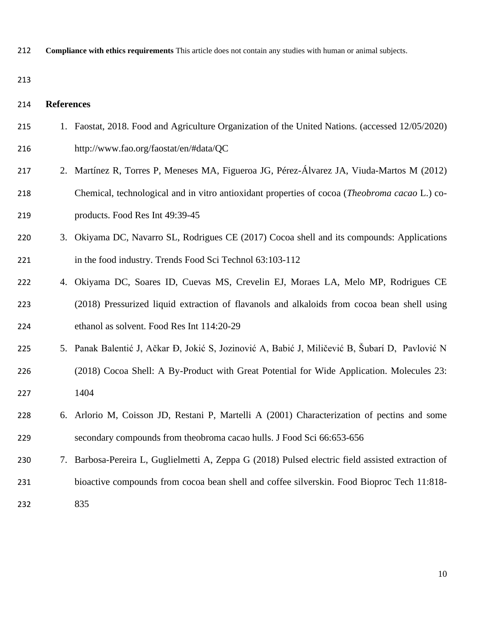**Compliance with ethics requirements** This article does not contain any studies with human or animal subjects.

## **References**

| 215 | 1. Faostat, 2018. Food and Agriculture Organization of the United Nations. (accessed 12/05/2020)  |
|-----|---------------------------------------------------------------------------------------------------|
| 216 | http://www.fao.org/faostat/en/#data/QC                                                            |
| 217 | 2. Martínez R, Torres P, Meneses MA, Figueroa JG, Pérez-Álvarez JA, Viuda-Martos M (2012)         |
| 218 | Chemical, technological and in vitro antioxidant properties of cocoa (Theobroma cacao L.) co-     |
| 219 | products. Food Res Int 49:39-45                                                                   |
| 220 | 3. Okiyama DC, Navarro SL, Rodrigues CE (2017) Cocoa shell and its compounds: Applications        |
| 221 | in the food industry. Trends Food Sci Technol 63:103-112                                          |
| 222 | 4. Okiyama DC, Soares ID, Cuevas MS, Crevelin EJ, Moraes LA, Melo MP, Rodrigues CE                |
| 223 | (2018) Pressurized liquid extraction of flavanols and alkaloids from cocoa bean shell using       |
| 224 | ethanol as solvent. Food Res Int 114:20-29                                                        |
| 225 | 5. Panak Balentić J, Ačkar Đ, Jokić S, Jozinović A, Babić J, Miličević B, Šubarí D, Pavlović N    |
| 226 | (2018) Cocoa Shell: A By-Product with Great Potential for Wide Application. Molecules 23:         |
| 227 | 1404                                                                                              |
| 228 | 6. Arlorio M, Coisson JD, Restani P, Martelli A (2001) Characterization of pectins and some       |
| 229 | secondary compounds from theobroma cacao hulls. J Food Sci 66:653-656                             |
| 230 | 7. Barbosa-Pereira L, Guglielmetti A, Zeppa G (2018) Pulsed electric field assisted extraction of |
| 231 | bioactive compounds from cocoa bean shell and coffee silverskin. Food Bioproc Tech 11:818-        |
| 232 | 835                                                                                               |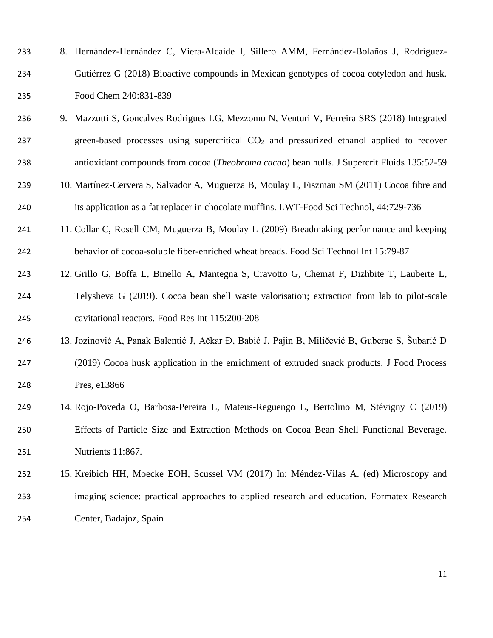| 233 | 8. Hernández-Hernández C, Viera-Alcaide I, Sillero AMM, Fernández-Bolaños J, Rodríguez-  |
|-----|------------------------------------------------------------------------------------------|
| 234 | Gutiérrez G (2018) Bioactive compounds in Mexican genotypes of cocoa cotyledon and husk. |
| 235 | Food Chem 240:831-839                                                                    |

- 9. Mazzutti S, Goncalves Rodrigues LG, Mezzomo N, Venturi V, Ferreira SRS (2018) Integrated 237 green-based processes using supercritical  $CO<sub>2</sub>$  and pressurized ethanol applied to recover antioxidant compounds from cocoa (*Theobroma cacao*) bean hulls. J Supercrit Fluids 135:52-59
- 10. Martínez-Cervera S, Salvador A, Muguerza B, Moulay L, Fiszman SM (2011) Cocoa fibre and 240 its application as a fat replacer in chocolate muffins. LWT-Food Sci Technol, 44:729-736
- 11. Collar C, Rosell CM, Muguerza B, Moulay L (2009) Breadmaking performance and keeping behavior of cocoa-soluble fiber-enriched wheat breads. Food Sci Technol Int 15:79-87
- 12. Grillo G, Boffa L, Binello A, Mantegna S, Cravotto G, Chemat F, [Dizhbite](https://www.sciencedirect.com/science/article/pii/S0963996918306677#!) T, [Lauberte](https://www.sciencedirect.com/science/article/pii/S0963996918306677#!) L, Telysheva G (2019). Cocoa bean shell waste valorisation; extraction from lab to pilot-scale cavitational reactors. Food Res Int 115:200-208
- 13. Jozinović A, Panak Balentić J, Ačkar Đ, Babić J, Pajin B, Miličević B, Guberac S, Šubarić D (2019) Cocoa husk application in the enrichment of extruded snack products. J Food Process Pres, e13866
- 14. Rojo-Poveda O, Barbosa-Pereira L, Mateus-Reguengo L, Bertolino M, Stévigny C (2019) Effects of Particle Size and Extraction Methods on Cocoa Bean Shell Functional Beverage. Nutrients 11:867.
- 15. Kreibich HH, Moecke EOH, Scussel VM (2017) In: Méndez-Vilas A. (ed) Microscopy and imaging science: practical approaches to applied research and education. Formatex Research Center, Badajoz, Spain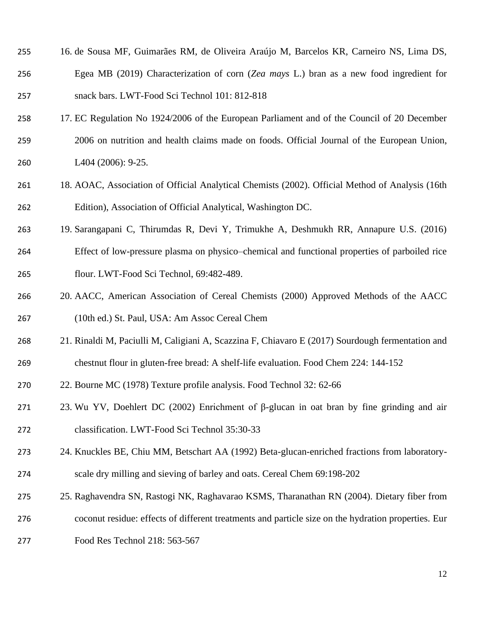| 255 | 16. de Sousa MF, Guimarães RM, de Oliveira Araújo M, Barcelos KR, Carneiro NS, Lima DS, |
|-----|-----------------------------------------------------------------------------------------|
| 256 | Egea MB (2019) Characterization of corn (Zea mays L.) bran as a new food ingredient for |
| 257 | snack bars. LWT-Food Sci Technol 101: 812-818                                           |

- 17. EC Regulation No 1924/2006 of the European Parliament and of the Council of 20 December 2006 on nutrition and health claims made on foods. Official Journal of the European Union, L404 (2006): 9-25.
- 18. AOAC, Association of Official Analytical Chemists (2002). Official Method of Analysis (16th Edition), Association of Official Analytical, Washington DC.

 19. Sarangapani C, Thirumdas R, Devi Y, Trimukhe A, Deshmukh RR, Annapure U.S. (2016) Effect of low-pressure plasma on physico–chemical and functional properties of parboiled rice flour. LWT-Food Sci Technol, 69:482-489.

- 20. AACC, American Association of Cereal Chemists (2000) Approved Methods of the AACC (10th ed.) St. Paul, USA: Am Assoc Cereal Chem
- 21. Rinaldi M, Paciulli M, Caligiani A, Scazzina F, Chiavaro E (2017) Sourdough fermentation and chestnut flour in gluten-free bread: A shelf-life evaluation. Food Chem 224: 144-152
- 22. Bourne MC (1978) Texture profile analysis. Food Technol 32: 62-66
- 23. Wu YV, Doehlert DC (2002) Enrichment of β-glucan in oat bran by fine grinding and air classification. LWT-Food Sci Technol 35:30-33
- 24. Knuckles BE, Chiu MM, Betschart AA (1992) Beta-glucan-enriched fractions from laboratory-scale dry milling and sieving of barley and oats. Cereal Chem 69:198-202
- 25. Raghavendra SN, Rastogi NK, Raghavarao KSMS, Tharanathan RN (2004). Dietary fiber from coconut residue: effects of different treatments and particle size on the hydration properties. Eur Food Res Technol 218: 563-567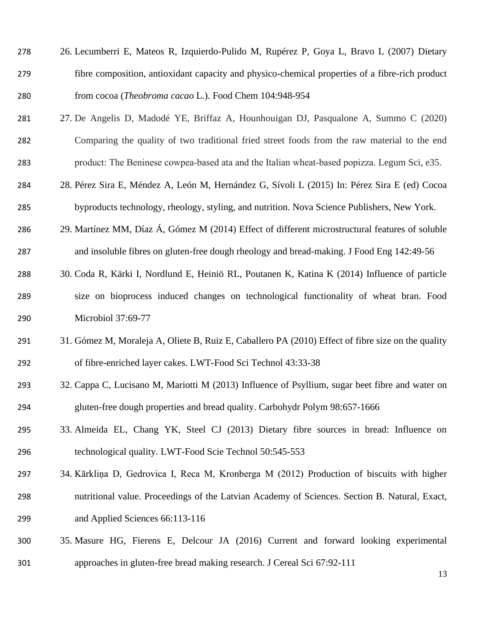| 278 | 26. Lecumberri E, Mateos R, Izquierdo-Pulido M, Rupérez P, Goya L, Bravo L (2007) Dietary       |
|-----|-------------------------------------------------------------------------------------------------|
| 279 | fibre composition, antioxidant capacity and physico-chemical properties of a fibre-rich product |
| 280 | from cocoa ( <i>Theobroma cacao</i> L.). Food Chem 104:948-954                                  |

- 27. De Angelis D, Madodé YE, Briffaz A, Hounhouigan DJ, Pasqualone A, Summo C (2020) Comparing the quality of two traditional fried street foods from the raw material to the end product: The Beninese cowpea‐based ata and the Italian wheat‐based popizza. Legum Sci, e35.
- 28. Pérez Sira E, Méndez A, León M, Hernández G, Sívoli L (2015) In: Pérez Sira E (ed) Cocoa byproducts technology, rheology, styling, and nutrition. Nova Science Publishers, New York.
- 29. Martínez MM, Díaz Á, Gómez M (2014) Effect of different microstructural features of soluble and insoluble fibres on gluten-free dough rheology and bread-making. J Food Eng 142:49-56
- 30. Coda R, Kärki I, Nordlund E, Heiniö RL, Poutanen K, Katina K (2014) Influence of particle size on bioprocess induced changes on technological functionality of wheat bran. Food Microbiol 37:69-77
- 31. Gómez M, Moraleja A, Oliete B, Ruiz E, Caballero PA (2010) Effect of fibre size on the quality of fibre-enriched layer cakes. LWT-Food Sci Technol 43:33-38
- 32. Cappa C, Lucisano M, Mariotti M (2013) Influence of Psyllium, sugar beet fibre and water on gluten-free dough properties and bread quality. Carbohydr Polym 98:657-1666
- 33. Almeida EL, Chang YK, Steel CJ (2013) Dietary fibre sources in bread: Influence on technological quality. LWT-Food Scie Technol 50:545-553
- 34. Kārkliņa D, Gedrovica I, Reca M, Kronberga M (2012) Production of biscuits with higher nutritional value. Proceedings of the Latvian Academy of Sciences. Section B. Natural, Exact, and Applied Sciences 66:113-116
- 35. Masure HG, Fierens E, Delcour JA (2016) Current and forward looking experimental approaches in gluten-free bread making research. J Cereal Sci 67:92-111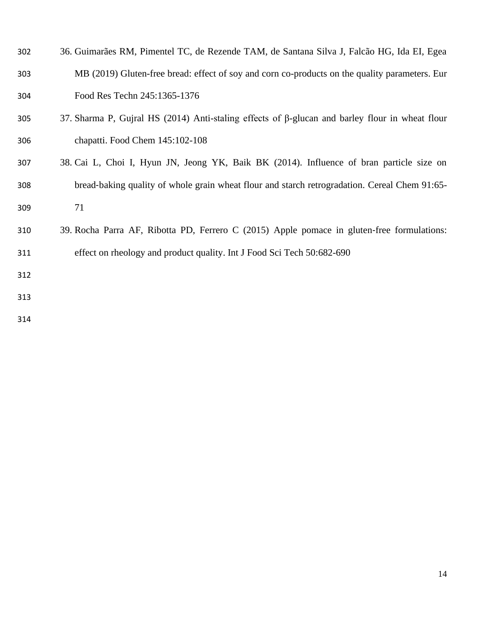| 302 | 36. Guimarães RM, Pimentel TC, de Rezende TAM, de Santana Silva J, Falcão HG, Ida EI, Egea             |
|-----|--------------------------------------------------------------------------------------------------------|
| 303 | MB (2019) Gluten-free bread: effect of soy and corn co-products on the quality parameters. Eur         |
| 304 | Food Res Techn 245:1365-1376                                                                           |
| 305 | 37. Sharma P, Gujral HS (2014) Anti-staling effects of $\beta$ -glucan and barley flour in wheat flour |
| 306 | chapatti. Food Chem 145:102-108                                                                        |
| 307 | 38. Cai L, Choi I, Hyun JN, Jeong YK, Baik BK (2014). Influence of bran particle size on               |
| 308 | bread-baking quality of whole grain wheat flour and starch retrogradation. Cereal Chem 91:65-          |
| 309 | 71                                                                                                     |
| 310 | 39. Rocha Parra AF, Ribotta PD, Ferrero C (2015) Apple pomace in gluten-free formulations:             |
| 311 | effect on rheology and product quality. Int J Food Sci Tech 50:682-690                                 |
| 312 |                                                                                                        |
| 313 |                                                                                                        |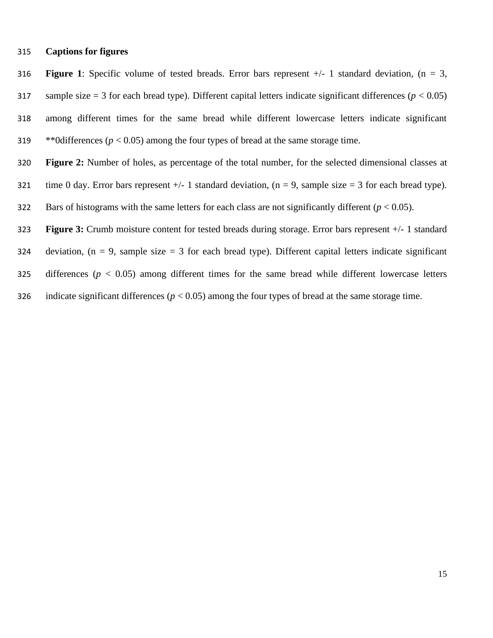#### 315 **Captions for figures**

316 **Figure 1**: Specific volume of tested breads. Error bars represent +/- 1 standard deviation, (n = 3, 317 sample size  $= 3$  for each bread type). Different capital letters indicate significant differences ( $p < 0.05$ ) 318 among different times for the same bread while different lowercase letters indicate significant 319  $*$ <sup>0</sup>0differences ( $p < 0.05$ ) among the four types of bread at the same storage time.

- 320 **Figure 2:** Number of holes, as percentage of the total number, for the selected dimensional classes at
- 321 time 0 day. Error bars represent  $+/- 1$  standard deviation, (n = 9, sample size = 3 for each bread type).
- 322 Bars of histograms with the same letters for each class are not significantly different  $(p < 0.05)$ .
- 323 **Figure 3:** Crumb moisture content for tested breads during storage. Error bars represent +/- 1 standard
- 324 deviation,  $(n = 9)$ , sample size = 3 for each bread type). Different capital letters indicate significant
- 325 differences (*p* < 0.05) among different times for the same bread while different lowercase letters
- 326 indicate significant differences ( $p < 0.05$ ) among the four types of bread at the same storage time.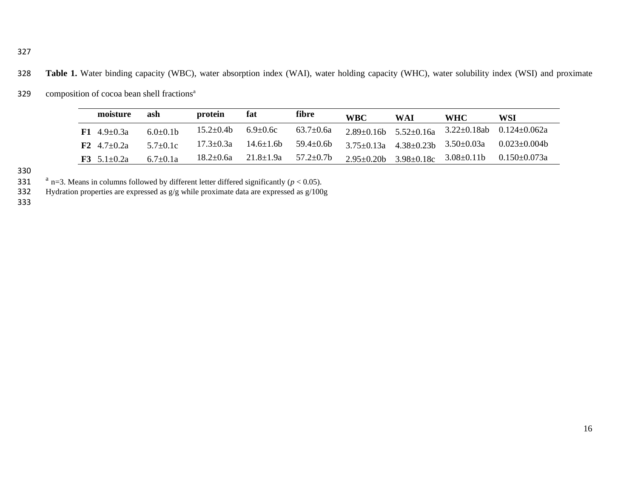328 **Table 1.** Water binding capacity (WBC), water absorption index (WAI), water holding capacity (WHC), water solubility index (WSI) and proximate

| 329 | composition of cocoa bean shell fractions <sup>a</sup> |  |  |  |
|-----|--------------------------------------------------------|--|--|--|
|     |                                                        |  |  |  |

| moisture                 | ash            | protein          | fat              | fibre            | <b>WBC</b>        | WAI              | <b>WHC</b>                                         | WSI                |
|--------------------------|----------------|------------------|------------------|------------------|-------------------|------------------|----------------------------------------------------|--------------------|
| $F1 \quad 4.9 + 0.3a$    | $6.0+0.1b$     | $15.2 \pm 0.4$ b | $6.9 \pm 0.6c$   | $63.7 \pm 0.6a$  |                   |                  | $2.89\pm0.16b$ 5.52 $\pm$ 0.16a 3.22 $\pm$ 0.18ab  | $0.124 + 0.062a$   |
| $F2 \quad 4.7+0.2a$      | $5.7+0.1c$     | $17.3 \pm 0.3a$  | $14.6 \pm 1.6$ b | $59.4 \pm 0.6$ b |                   |                  | $3.75 \pm 0.13a$ $4.38 \pm 0.23b$ $3.50 \pm 0.03a$ | $0.023 \pm 0.004b$ |
| <b>F3</b> 5.1 $\pm$ 0.2a | $6.7 \pm 0.1a$ | $18.2 \pm 0.6a$  | $21.8 \pm 1.9a$  | $57.2 \pm 0.7$ b | $2.95 \pm 0.20$ b | $3.98 \pm 0.18c$ | $3.08 \pm 0.11$ b                                  | $0.150\pm0.073a$   |

330<br>331

331 <sup>a</sup> n=3. Means in columns followed by different letter differed significantly ( $p < 0.05$ ).<br>332 Hydration properties are expressed as  $g/g$  while proximate data are expressed as  $g/100$ 

Hydration properties are expressed as  $g/g$  while proximate data are expressed as  $g/100g$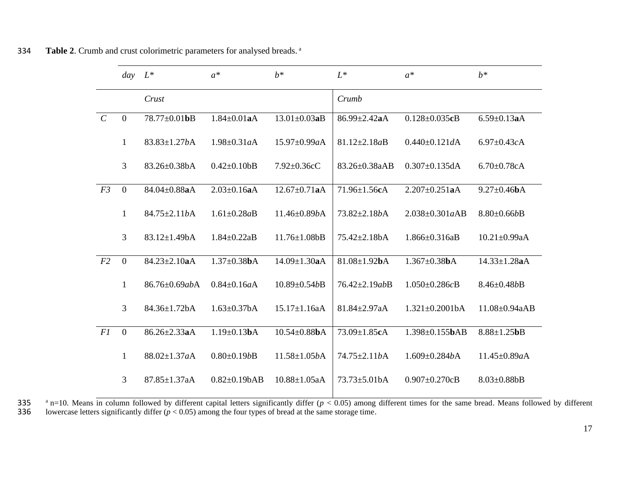| $h^*$<br>$L^*$<br>$h^*$<br>$L^*$<br>$a^*$<br>$a^*$<br>day<br>Crust<br>Crumb<br>$\mathbf{0}$<br>78.77±0.01bB<br>$1.84 \pm 0.01$ aA<br>$13.01 \pm 0.03$ aB<br>$6.59 \pm 0.13$ aA<br>86.99±2.42aA<br>$0.128 \pm 0.035$ cB<br>$\mathbf{1}$<br>$83.83 \pm 1.27bA$<br>$1.98 \pm 0.31 aA$<br>$15.97 \pm 0.99a$ A<br>$81.12 \pm 2.18aB$<br>$0.440 \pm 0.121 dA$<br>$6.97 \pm 0.43c$ A<br>3<br>83.26±0.38bA<br>83.26±0.38aAB<br>$0.307 \pm 0.135$ dA<br>$0.42 \pm 0.10$<br>$7.92 \pm 0.36$ cC<br>$6.70 \pm 0.78$ cA<br>$\overline{0}$<br>$12.67 \pm 0.71$ aA<br>$2.207 \pm 0.251$ aA<br>$84.04 \pm 0.88$ aA<br>$2.03 \pm 0.16$ aA<br>$71.96 \pm 1.56cA$<br>$9.27 \pm 0.46$ bA<br>$\mathbf{1}$<br>84.75±2.11bA<br>$2.038 \pm 0.301a$ AB<br>$1.61 \pm 0.28aB$<br>$11.46 \pm 0.89$ bA<br>$73.82 \pm 2.18b$ A<br>$8.80 \pm 0.66b$ B<br>$\overline{3}$<br>$83.12 \pm 1.49$ bA<br>$1.84 \pm 0.22aB$<br>$11.76 \pm 1.08$ bB<br>$75.42 \pm 2.18bA$<br>$1.866 \pm 0.316$ aB<br>$10.21 \pm 0.99$ aA<br>$\mathbf{0}$<br>$84.23 \pm 2.10$ aA<br>$1.37 \pm 0.38$ bA<br>$14.09 \pm 1.30$ aA<br>$81.08 \pm 1.92$ bA<br>$1.367 \pm 0.38$ bA<br>$14.33 \pm 1.28$ aA<br>$\mathbf{1}$<br>86.76±0.69abA<br>$1.050 \pm 0.286c$ B<br>$8.46 \pm 0.48b$ B<br>$0.84 \pm 0.16aA$<br>$10.89 \pm 0.54b$ B<br>76.42±2.19abB<br>$\overline{3}$<br>$84.36 \pm 1.72$ bA<br>$1.63 \pm 0.37$ bA<br>$15.17 \pm 1.16$ aA<br>$81.84 \pm 2.97a$ A<br>$1.321 \pm 0.2001$ bA<br>11.08±0.94aAB<br>$\mathbf{0}$<br>86.26±2.33aA<br>$1.19 \pm 0.13$ bA<br>$10.54 \pm 0.88$ bA<br>73.09±1.85cA<br>$1.398 \pm 0.155$ bAB<br>$8.88 \pm 1.25$ <b>bB</b><br>$\mathbf{1}$<br>88.02±1.37aA<br>$0.80 \pm 0.19b$ B<br>$11.58 \pm 1.05bA$<br>74.75±2.11bA<br>$1.609 \pm 0.284b$ A<br>11.45±0.89aA<br>$\overline{3}$<br>$10.88 \pm 1.05a$ A<br>$73.73 \pm 5.01$ bA<br>$87.85 \pm 1.37$ aA<br>$0.82 \pm 0.19bAB$<br>$0.907 \pm 0.270$ cB<br>$8.03 \pm 0.88$ bB |                |  |  |  |  |
|------------------------------------------------------------------------------------------------------------------------------------------------------------------------------------------------------------------------------------------------------------------------------------------------------------------------------------------------------------------------------------------------------------------------------------------------------------------------------------------------------------------------------------------------------------------------------------------------------------------------------------------------------------------------------------------------------------------------------------------------------------------------------------------------------------------------------------------------------------------------------------------------------------------------------------------------------------------------------------------------------------------------------------------------------------------------------------------------------------------------------------------------------------------------------------------------------------------------------------------------------------------------------------------------------------------------------------------------------------------------------------------------------------------------------------------------------------------------------------------------------------------------------------------------------------------------------------------------------------------------------------------------------------------------------------------------------------------------------------------------------------------------------------------------------------------------------------------------------------------------------------------------|----------------|--|--|--|--|
|                                                                                                                                                                                                                                                                                                                                                                                                                                                                                                                                                                                                                                                                                                                                                                                                                                                                                                                                                                                                                                                                                                                                                                                                                                                                                                                                                                                                                                                                                                                                                                                                                                                                                                                                                                                                                                                                                                |                |  |  |  |  |
|                                                                                                                                                                                                                                                                                                                                                                                                                                                                                                                                                                                                                                                                                                                                                                                                                                                                                                                                                                                                                                                                                                                                                                                                                                                                                                                                                                                                                                                                                                                                                                                                                                                                                                                                                                                                                                                                                                |                |  |  |  |  |
|                                                                                                                                                                                                                                                                                                                                                                                                                                                                                                                                                                                                                                                                                                                                                                                                                                                                                                                                                                                                                                                                                                                                                                                                                                                                                                                                                                                                                                                                                                                                                                                                                                                                                                                                                                                                                                                                                                | $\mathcal{C}$  |  |  |  |  |
|                                                                                                                                                                                                                                                                                                                                                                                                                                                                                                                                                                                                                                                                                                                                                                                                                                                                                                                                                                                                                                                                                                                                                                                                                                                                                                                                                                                                                                                                                                                                                                                                                                                                                                                                                                                                                                                                                                |                |  |  |  |  |
|                                                                                                                                                                                                                                                                                                                                                                                                                                                                                                                                                                                                                                                                                                                                                                                                                                                                                                                                                                                                                                                                                                                                                                                                                                                                                                                                                                                                                                                                                                                                                                                                                                                                                                                                                                                                                                                                                                |                |  |  |  |  |
|                                                                                                                                                                                                                                                                                                                                                                                                                                                                                                                                                                                                                                                                                                                                                                                                                                                                                                                                                                                                                                                                                                                                                                                                                                                                                                                                                                                                                                                                                                                                                                                                                                                                                                                                                                                                                                                                                                | F <sub>3</sub> |  |  |  |  |
|                                                                                                                                                                                                                                                                                                                                                                                                                                                                                                                                                                                                                                                                                                                                                                                                                                                                                                                                                                                                                                                                                                                                                                                                                                                                                                                                                                                                                                                                                                                                                                                                                                                                                                                                                                                                                                                                                                |                |  |  |  |  |
|                                                                                                                                                                                                                                                                                                                                                                                                                                                                                                                                                                                                                                                                                                                                                                                                                                                                                                                                                                                                                                                                                                                                                                                                                                                                                                                                                                                                                                                                                                                                                                                                                                                                                                                                                                                                                                                                                                |                |  |  |  |  |
|                                                                                                                                                                                                                                                                                                                                                                                                                                                                                                                                                                                                                                                                                                                                                                                                                                                                                                                                                                                                                                                                                                                                                                                                                                                                                                                                                                                                                                                                                                                                                                                                                                                                                                                                                                                                                                                                                                | F <sub>2</sub> |  |  |  |  |
|                                                                                                                                                                                                                                                                                                                                                                                                                                                                                                                                                                                                                                                                                                                                                                                                                                                                                                                                                                                                                                                                                                                                                                                                                                                                                                                                                                                                                                                                                                                                                                                                                                                                                                                                                                                                                                                                                                |                |  |  |  |  |
|                                                                                                                                                                                                                                                                                                                                                                                                                                                                                                                                                                                                                                                                                                                                                                                                                                                                                                                                                                                                                                                                                                                                                                                                                                                                                                                                                                                                                                                                                                                                                                                                                                                                                                                                                                                                                                                                                                |                |  |  |  |  |
|                                                                                                                                                                                                                                                                                                                                                                                                                                                                                                                                                                                                                                                                                                                                                                                                                                                                                                                                                                                                                                                                                                                                                                                                                                                                                                                                                                                                                                                                                                                                                                                                                                                                                                                                                                                                                                                                                                | F1             |  |  |  |  |
|                                                                                                                                                                                                                                                                                                                                                                                                                                                                                                                                                                                                                                                                                                                                                                                                                                                                                                                                                                                                                                                                                                                                                                                                                                                                                                                                                                                                                                                                                                                                                                                                                                                                                                                                                                                                                                                                                                |                |  |  |  |  |
|                                                                                                                                                                                                                                                                                                                                                                                                                                                                                                                                                                                                                                                                                                                                                                                                                                                                                                                                                                                                                                                                                                                                                                                                                                                                                                                                                                                                                                                                                                                                                                                                                                                                                                                                                                                                                                                                                                |                |  |  |  |  |
|                                                                                                                                                                                                                                                                                                                                                                                                                                                                                                                                                                                                                                                                                                                                                                                                                                                                                                                                                                                                                                                                                                                                                                                                                                                                                                                                                                                                                                                                                                                                                                                                                                                                                                                                                                                                                                                                                                |                |  |  |  |  |

**Table 2**. Crumb and crust colorimetric parameters for analysed breads.<sup>a</sup>

335 <sup>a</sup> n=10. Means in column followed by different capital letters significantly differ ( $p < 0.05$ ) among different times for the same bread. Means followed by different lowercase letters significantly differ ( $p < 0.05$ ) lowercase letters significantly differ  $(p < 0.05)$  among the four types of bread at the same storage time.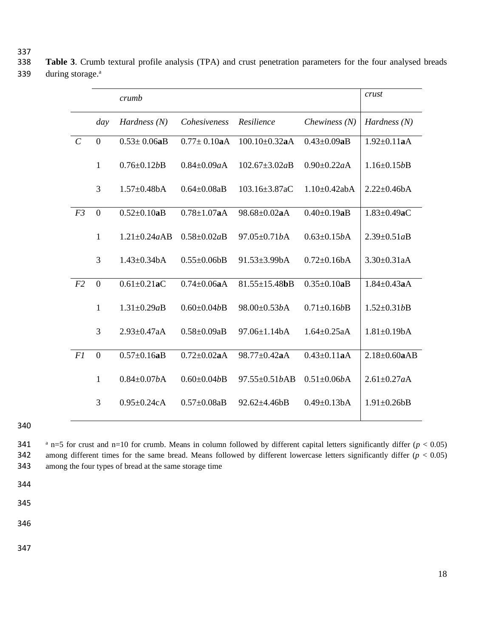337<br>338 Table 3. Crumb textural profile analysis (TPA) and crust penetration parameters for the four analysed breads during storage. <sup>a</sup>

|                |                | crumb              |                    |                      |                    | crust               |
|----------------|----------------|--------------------|--------------------|----------------------|--------------------|---------------------|
|                | day            | Hardness $(N)$     | Cohesiveness       | Resilience           | Chewiness $(N)$    | Hardness $(N)$      |
| $\mathcal{C}$  | $\mathbf{0}$   | $0.53 \pm 0.06$ aB | $0.77 \pm 0.10$ aA | $100.10 \pm 0.32$ aA | $0.43 \pm 0.09$ aB | $1.92 \pm 0.11$ aA  |
|                | $\mathbf{1}$   | $0.76 \pm 0.12b$ B | $0.84 \pm 0.09a$ A | $102.67 \pm 3.02aB$  | $0.90 \pm 0.22a$ A | $1.16 \pm 0.15b$ B  |
|                | 3              | $1.57 \pm 0.48$ bA | $0.64 \pm 0.08$ aB | $103.16 \pm 3.87$ aC | $1.10\pm0.42$ abA  | $2.22 \pm 0.46bA$   |
| F <sub>3</sub> | $\mathbf{0}$   | $0.52 \pm 0.10$ aB | $0.78 \pm 1.07$ aA | 98.68±0.02aA         | $0.40 \pm 0.19$ aB | $1.83 \pm 0.49$ aC  |
|                | $\mathbf{1}$   | $1.21 \pm 0.24aAB$ | $0.58 \pm 0.02aB$  | 97.05±0.71bA         | $0.63 \pm 0.15bA$  | $2.39 \pm 0.51aB$   |
|                | 3              | $1.43 \pm 0.34$ bA | $0.55 \pm 0.06bB$  | 91.53±3.99bA         | $0.72 \pm 0.16bA$  | $3.30 \pm 0.31$ aA  |
| F2             | $\overline{0}$ | $0.61 \pm 0.21$ aC | $0.74 \pm 0.06$ aA | $81.55 \pm 15.48$ bB | $0.35 \pm 0.10$ aB | $1.84 \pm 0.43$ aA  |
|                | $\mathbf{1}$   | $1.31 \pm 0.29aB$  | $0.60 \pm 0.04b$ B | 98.00±0.53bA         | $0.71 \pm 0.16b$ B | $1.52 \pm 0.31bB$   |
|                | 3              | $2.93 \pm 0.47$ aA | $0.58 \pm 0.09aB$  | 97.06±1.14bA         | $1.64 \pm 0.25$ aA | $1.81 \pm 0.19$ bA  |
| FI             | $\overline{0}$ | $0.57 \pm 0.16$ aB | $0.72 \pm 0.02$ aA | 98.77±0.42aA         | $0.43 \pm 0.11$ aA | $2.18 \pm 0.60$ aAB |
|                | $\mathbf{1}$   | $0.84 \pm 0.07b$ A | $0.60 \pm 0.04b$ B | 97.55±0.51bAB        | $0.51 \pm 0.06bA$  | $2.61 \pm 0.27 aA$  |
|                | 3              | $0.95 \pm 0.24c$ A | $0.57 \pm 0.08$ aB | $92.62 \pm 4.46 bB$  | $0.49 \pm 0.13$ bA | $1.91 \pm 0.26$ bB  |

341  $\alpha$  n=5 for crust and n=10 for crumb. Means in column followed by different capital letters significantly differ ( $p < 0.05$ ) among different times for the same bread. Means followed by different lowercase letters significantly differ (*p* < 0.05) among the four types of bread at the same storage time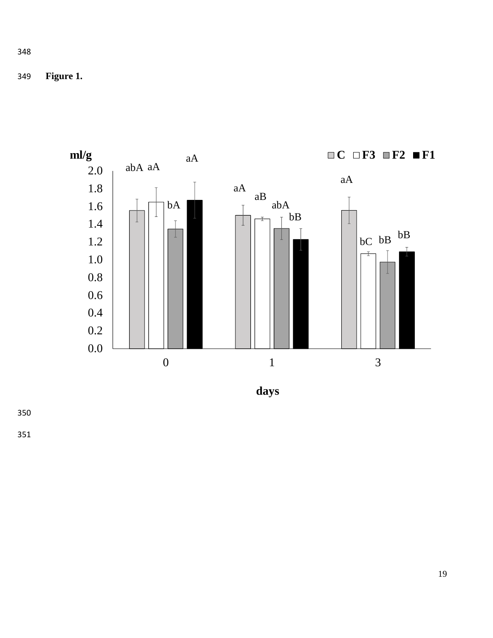349 **Figure 1.** 



**days**

350

351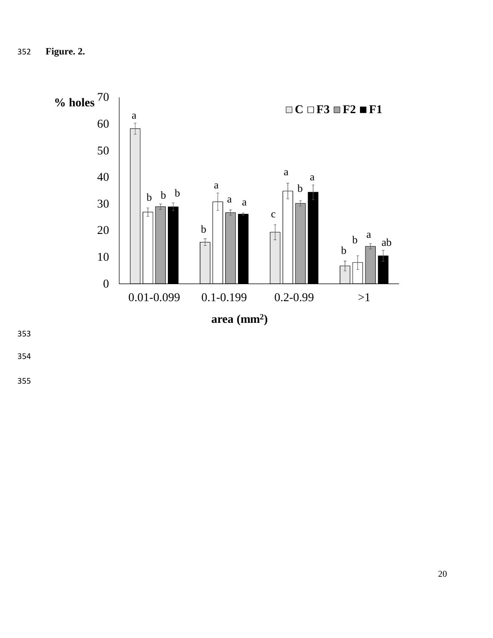352 **Figure. 2.** 



353

354